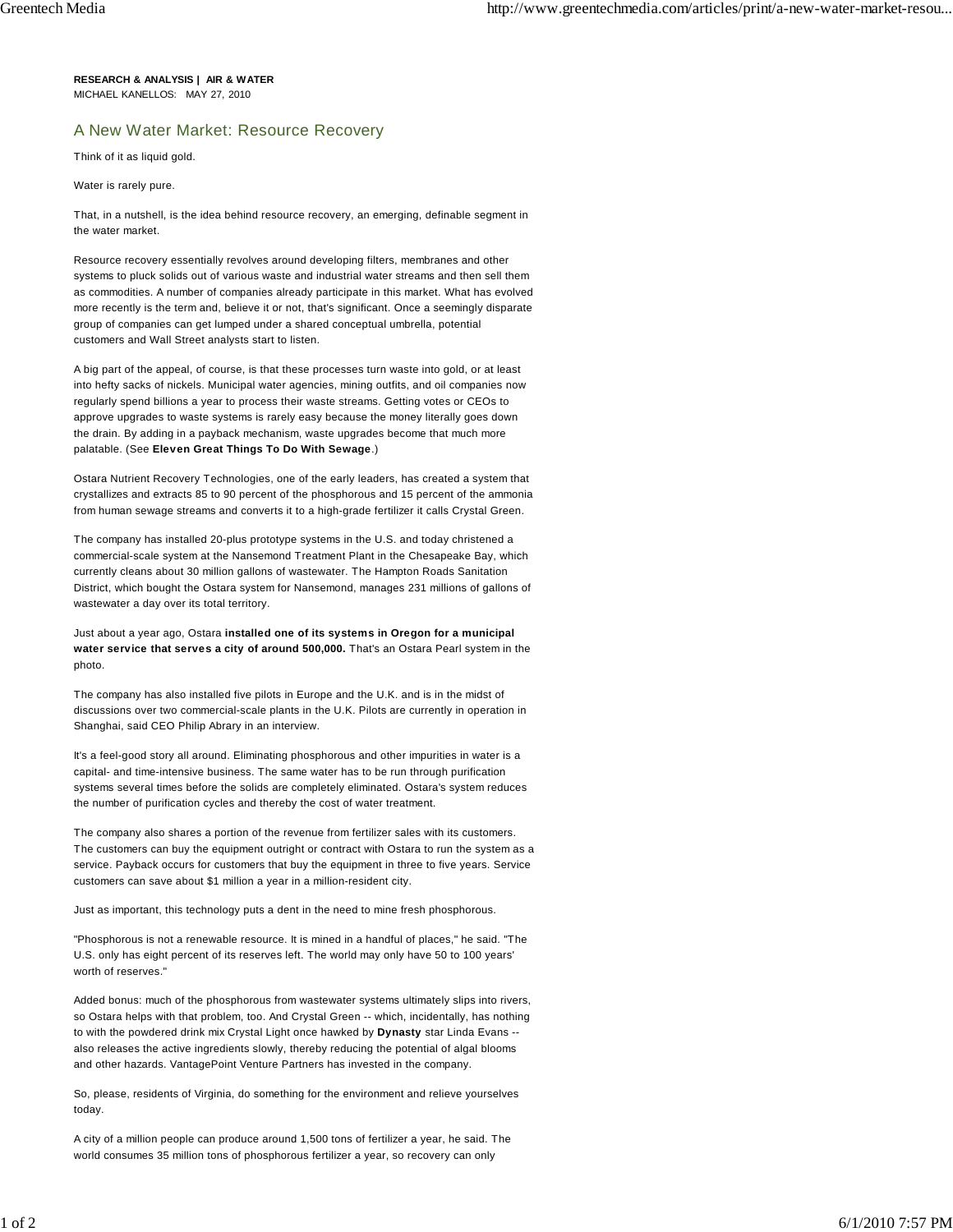**RESEARCH & ANALYSIS | AIR & WATER** MICHAEL KANELLOS: MAY 27, 2010

## A New Water Market: Resource Recovery

Think of it as liquid gold.

Water is rarely pure.

That, in a nutshell, is the idea behind resource recovery, an emerging, definable segment in the water market.

Resource recovery essentially revolves around developing filters, membranes and other systems to pluck solids out of various waste and industrial water streams and then sell them as commodities. A number of companies already participate in this market. What has evolved more recently is the term and, believe it or not, that's significant. Once a seemingly disparate group of companies can get lumped under a shared conceptual umbrella, potential customers and Wall Street analysts start to listen.

A big part of the appeal, of course, is that these processes turn waste into gold, or at least into hefty sacks of nickels. Municipal water agencies, mining outfits, and oil companies now regularly spend billions a year to process their waste streams. Getting votes or CEOs to approve upgrades to waste systems is rarely easy because the money literally goes down the drain. By adding in a payback mechanism, waste upgrades become that much more palatable. (See **Eleven Great Things To Do With Sewage**.)

Ostara Nutrient Recovery Technologies, one of the early leaders, has created a system that crystallizes and extracts 85 to 90 percent of the phosphorous and 15 percent of the ammonia from human sewage streams and converts it to a high-grade fertilizer it calls Crystal Green.

The company has installed 20-plus prototype systems in the U.S. and today christened a commercial-scale system at the Nansemond Treatment Plant in the Chesapeake Bay, which currently cleans about 30 million gallons of wastewater. The Hampton Roads Sanitation District, which bought the Ostara system for Nansemond, manages 231 millions of gallons of wastewater a day over its total territory.

Just about a year ago, Ostara **installed one of its systems in Oregon for a municipal water service that serves a city of around 500,000.** That's an Ostara Pearl system in the photo.

The company has also installed five pilots in Europe and the U.K. and is in the midst of discussions over two commercial-scale plants in the U.K. Pilots are currently in operation in Shanghai, said CEO Philip Abrary in an interview.

It's a feel-good story all around. Eliminating phosphorous and other impurities in water is a capital- and time-intensive business. The same water has to be run through purification systems several times before the solids are completely eliminated. Ostara's system reduces the number of purification cycles and thereby the cost of water treatment.

The company also shares a portion of the revenue from fertilizer sales with its customers. The customers can buy the equipment outright or contract with Ostara to run the system as a service. Payback occurs for customers that buy the equipment in three to five years. Service customers can save about \$1 million a year in a million-resident city.

Just as important, this technology puts a dent in the need to mine fresh phosphorous.

"Phosphorous is not a renewable resource. It is mined in a handful of places," he said. "The U.S. only has eight percent of its reserves left. The world may only have 50 to 100 years' worth of reserves."

Added bonus: much of the phosphorous from wastewater systems ultimately slips into rivers, so Ostara helps with that problem, too. And Crystal Green -- which, incidentally, has nothing to with the powdered drink mix Crystal Light once hawked by **Dynasty** star Linda Evans - also releases the active ingredients slowly, thereby reducing the potential of algal blooms and other hazards. VantagePoint Venture Partners has invested in the company.

So, please, residents of Virginia, do something for the environment and relieve yourselves today.

A city of a million people can produce around 1,500 tons of fertilizer a year, he said. The world consumes 35 million tons of phosphorous fertilizer a year, so recovery can only